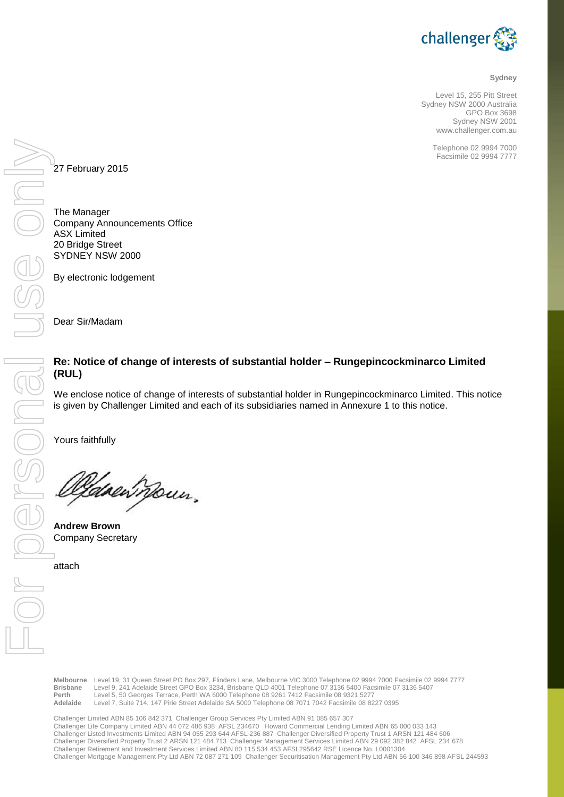

#### **Sydney**

Level 15, 255 Pitt Street Sydney NSW 2000 Australia GPO Box 3698 Sydney NSW 2001 www.challenger.com.au

> Telephone 02 9994 7000 Facsimile 02 9994 7777

27 February 2015

The Manager Company Announcements Office ASX Limited 20 Bridge Street SYDNEY NSW 2000

By electronic lodgement

Dear Sir/Madam

# **Re: Notice of change of interests of substantial holder – Rungepincockminarco Limited (RUL)**

We enclose notice of change of interests of substantial holder in Rungepincockminarco Limited. This notice is given by Challenger Limited and each of its subsidiaries named in Annexure 1 to this notice.

Yours faithfully

Canen noun.

**Andrew Brown** Company Secretary

attach

**Melbourne** Level 19, 31 Queen Street PO Box 297, Flinders Lane, Melbourne VIC 3000 Telephone 02 9994 7000 Facsimile 02 9994 7777 **Brisbane** Level 9, 241 Adelaide Street GPO Box 3234, Brisbane QLD 4001 Telephone 07 3136 5400 Facsimile 07 3136 5407 **Perth** Level 5, 50 Georges Terrace, Perth WA 6000 Telephone 08 9261 7412 Facsimile 08 9321 5277<br> **Adelaide** Level 7 Suite 714, 147 Pirie Street Adelaide SA 5000 Telephone 08 7071 7042 Facsimile 08 82 **Adelaide** Level 7, Suite 714, 147 Pirie Street Adelaide SA 5000 Telephone 08 7071 7042 Facsimile 08 8227 0395

Challenger Limited ABN 85 106 842 371 Challenger Group Services Pty Limited ABN 91 085 657 307 Challenger Life Company Limited ABN 44 072 486 938 AFSL 234670 Howard Commercial Lending Limited ABN 65 000 033 143 Challenger Listed Investments Limited ABN 94 055 293 644 AFSL 236 887 Challenger Diversified Property Trust 1 ARSN 121 484 606 Challenger Diversified Property Trust 2 ARSN 121 484 713 Challenger Management Services Limited ABN 29 092 382 842 AFSL 234 678 Challenger Retirement and Investment Services Limited ABN 80 115 534 453 AFSL295642 RSE Licence No. L0001304 Challenger Mortgage Management Pty Ltd ABN 72 087 271 109 Challenger Securitisation Management Pty Ltd ABN 56 100 346 898 AFSL 244593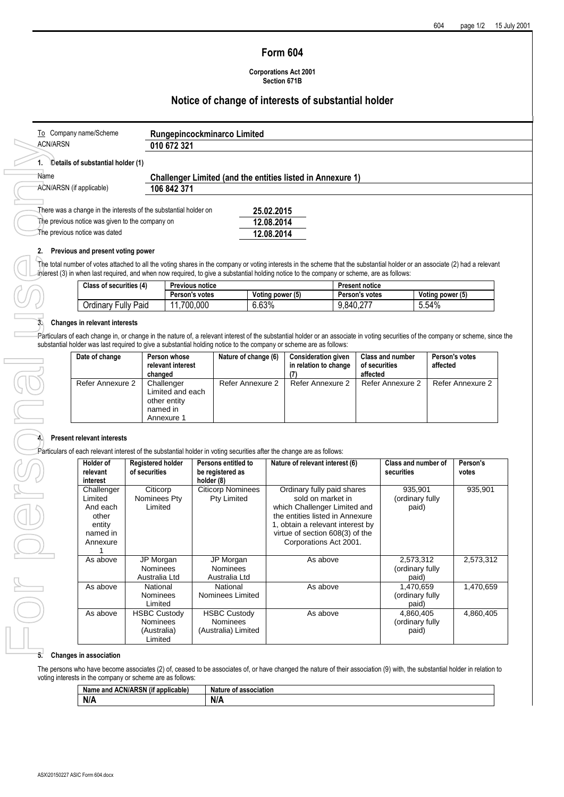### **Form 604**

**Corporations Act 2001 Section 671B**

# **Notice of change of interests of substantial holder**

| Company name/Scheme<br>To                                        | Rungepincockminarco Limited |                                                                   |  |
|------------------------------------------------------------------|-----------------------------|-------------------------------------------------------------------|--|
| <b>ACN/ARSN</b>                                                  | 010 672 321                 |                                                                   |  |
| Details of substantial holder (1)                                |                             |                                                                   |  |
| Name                                                             |                             | <b>Challenger Limited (and the entities listed in Annexure 1)</b> |  |
| ACN/ARSN (if applicable)                                         | 106 842 371                 |                                                                   |  |
| There was a change in the interests of the substantial holder on |                             | 25.02.2015                                                        |  |
| The previous notice was given to the company on                  |                             | 12.08.2014                                                        |  |
| The previous notice was dated                                    |                             | 12.08.2014                                                        |  |

number of votes attached to all the voting shares in the company or voting interests in the scheme that the substantial holder or an associate (2) had a relevant interest (3) in when last required, and when now required, to give a substantial holding notice to the company or scheme, are as follows:

| Class of securities (4)         | <b>Previous notice</b> |                  | <b>Present notice</b> |                  |
|---------------------------------|------------------------|------------------|-----------------------|------------------|
|                                 | Person's votes         | Voting power (5) | Person's votes        | Voting power (5) |
| ullv<br>Paid<br><b>Jrdinary</b> | 700,000                | 6.63%            | יר ה<br>9.840.27      | 5.54%            |

### **3. Changes in relevant interests**

Particulars of each change in, or change in the nature of, a relevant interest of the substantial holder or an associate in voting securities of the company or scheme, since the substantial holder was last required to give a substantial holding notice to the company or scheme are as follows:

| Date of change   | Person whose<br>relevant interest<br>changed                             | Nature of change (6) | <b>Consideration given</b><br>in relation to change | <b>Class and number</b><br>of securities<br>affected | Person's votes<br>affected |
|------------------|--------------------------------------------------------------------------|----------------------|-----------------------------------------------------|------------------------------------------------------|----------------------------|
| Refer Annexure 2 | Challenger<br>Limited and each<br>other entity<br>named in<br>Annexure 1 | Refer Annexure 2     | Refer Annexure 2                                    | Refer Annexure 2                                     | Refer Annexure 2           |

#### **4. Present relevant interests**

Particulars of each relevant interest of the substantial holder in voting securities after the change are as follows:

| Holder of<br>relevant                                                                    | <b>Registered holder</b><br>of securities                        | Persons entitled to<br>be registered as                       | Nature of relevant interest (6)                                                                                                                                                                                     | Class and number of<br><b>securities</b> | Person's<br>votes |
|------------------------------------------------------------------------------------------|------------------------------------------------------------------|---------------------------------------------------------------|---------------------------------------------------------------------------------------------------------------------------------------------------------------------------------------------------------------------|------------------------------------------|-------------------|
| interest<br>Challenger<br>Limited<br>And each<br>other<br>entity<br>named in<br>Annexure | Citicorp<br>Nominees Pty<br>Limited                              | holder (8)<br><b>Citicorp Nominees</b><br>Pty Limited         | Ordinary fully paid shares<br>sold on market in<br>which Challenger Limited and<br>the entities listed in Annexure<br>1, obtain a relevant interest by<br>virtue of section 608(3) of the<br>Corporations Act 2001. | 935,901<br>(ordinary fully<br>paid)      | 935,901           |
| As above                                                                                 | JP Morgan<br><b>Nominees</b><br>Australia Ltd                    | JP Morgan<br><b>Nominees</b><br>Australia Ltd                 | As above                                                                                                                                                                                                            | 2,573,312<br>(ordinary fully<br>paid)    | 2,573,312         |
| As above                                                                                 | National<br><b>Nominees</b><br>Limited                           | National<br>Nominees Limited                                  | As above                                                                                                                                                                                                            | 1,470,659<br>(ordinary fully<br>paid)    | 1,470,659         |
| As above                                                                                 | <b>HSBC Custody</b><br><b>Nominees</b><br>(Australia)<br>Limited | <b>HSBC Custody</b><br><b>Nominees</b><br>(Australia) Limited | As above                                                                                                                                                                                                            | 4,860,405<br>(ordinary fully<br>paid)    | 4,860,405         |

### **5. Changes in association**

The persons who have become associates (2) of, ceased to be associates of, or have changed the nature of their association (9) with, the substantial holder in relation to voting interests in the company or scheme are as follows:

| <br>$\sim$<br><b>ACN/ARSN</b><br>Nai.<br>applicable<br>o and<br>(it | <b>Nature</b><br>association<br>. OT |
|---------------------------------------------------------------------|--------------------------------------|
| <b>AIA</b><br>N/                                                    | N/A                                  |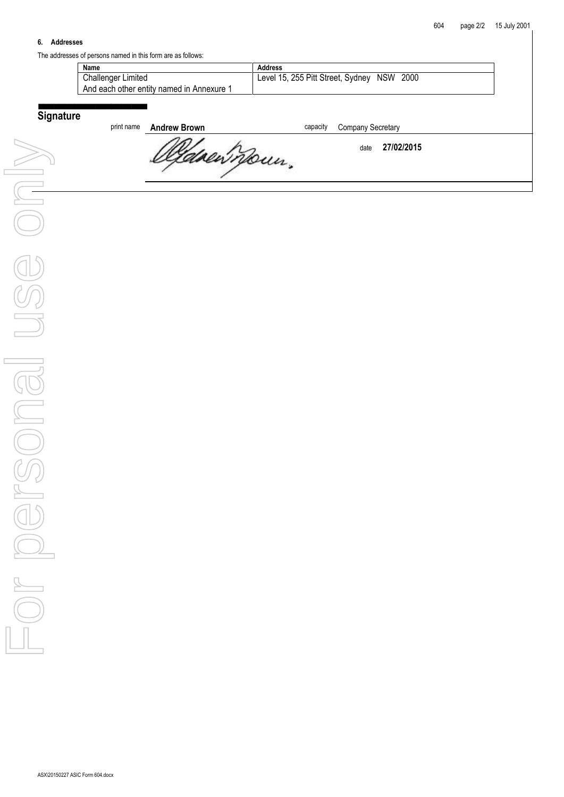### **6. Addresses**

The addresses of persons named in this form are as follows:

| Name                                      | Address                                    |
|-------------------------------------------|--------------------------------------------|
| <b>Challenger Limited</b>                 | Level 15, 255 Pitt Street, Sydney NSW 2000 |
| And each other entity named in Annexure 1 |                                            |
|                                           |                                            |
|                                           |                                            |

# **Signature**

| print name | <b>Andrew Brown</b> | capacity | <b>Company Secretary</b> |  |
|------------|---------------------|----------|--------------------------|--|
|            | " " " Mour.         |          | 27/02/2015<br>date       |  |
|            |                     |          |                          |  |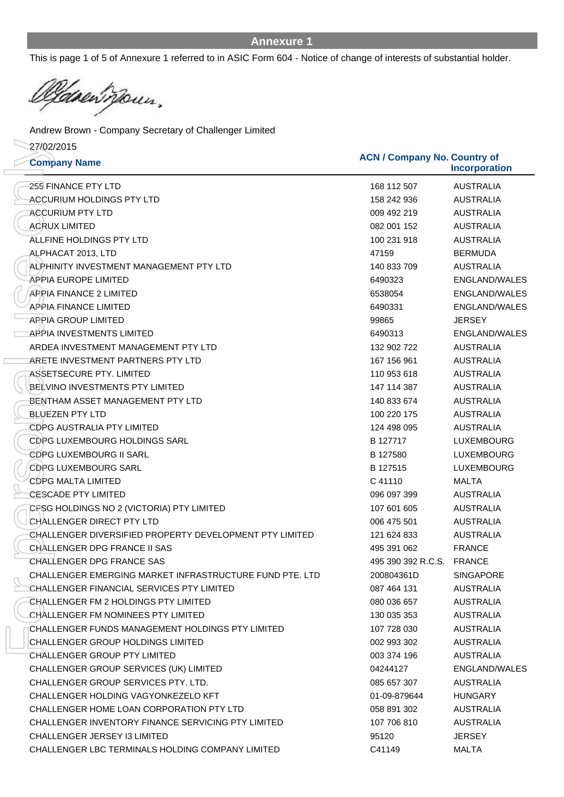**Incorporation**

This is page 1 of 5 of Annexure 1 referred to in ASIC Form 604 - Notice of change of interests of substantial holder.

drewnown.

Andrew Brown - Company Secretary of Challenger Limited

27/02/2015

**Company Name ACN / Company No. Country of** 255 FINANCE PTY LTD 168 112 507 AUSTRALIA ACCURIUM HOLDINGS PTY LTD 158 242 936 AUSTRALIA ACCURIUM PTY LTD 009 492 219 AUSTRALIA ACRUX LIMITED 082 001 152 AUSTRALIA ALLFINE HOLDINGS PTY LTD 100 231 918 AUSTRALIA ALPHACAT 2013, LTD 47159 BERMUDA ALPHINITY INVESTMENT MANAGEMENT PTY LTD 140 833 709 AUSTRALIA APPIA EUROPE LIMITED 6490323 ENGLAND/WALES APPIA FINANCE 2 LIMITED 6538054 ENGLAND/WALES APPIA FINANCE LIMITED 6490331 ENGLAND/WALES APPIA GROUP LIMITED 99865 JERSEY APPIA INVESTMENTS LIMITED 6490313 ENGLAND/WALES ARDEA INVESTMENT MANAGEMENT PTY LTD 132 902 722 AUSTRALIA ARETE INVESTMENT PARTNERS PTY LTD 167 156 961 AUSTRALIA ASSETSECURE PTY. LIMITED 110 953 618 AUSTRALIA BELVINO INVESTMENTS PTY LIMITED 147 114 387 AUSTRALIA BENTHAM ASSET MANAGEMENT PTY LTD 140 833 674 AUSTRALIA BLUEZEN PTY LTD 100 220 175 AUSTRALIA CDPG AUSTRALIA PTY LIMITED 124 498 095 AUSTRALIA CDPG LUXEMBOURG HOLDINGS SARL CONTROL B 127717 LUXEMBOURG CDPG LUXEMBOURG II SARL B 127580 LUXEMBOURG CDPG LUXEMBOURG SARL GORD CONTROLLER B 127515 LUXEMBOURG CDPG MALTA LIMITED C 41110 MALTA CESCADE PTY LIMITED 096 097 399 AUSTRALIA CFSG HOLDINGS NO 2 (VICTORIA) PTY LIMITED 107 107 601 605 AUSTRALIA CHALLENGER DIRECT PTY LTD 006 475 501 AUSTRALIA CHALLENGER DIVERSIFIED PROPERTY DEVELOPMENT PTY LIMITED 121 624 833 AUSTRALIA CHALLENGER DPG FRANCE II SAS 495 391 062 FRANCE CHALLENGER DPG FRANCE SAS 495 390 392 R.C.S. FRANCE CHALLENGER EMERGING MARKET INFRASTRUCTURE FUND PTE. LTD 200804361D SINGAPORE CHALLENGER FINANCIAL SERVICES PTY LIMITED 087 464 131 AUSTRALIA CHALLENGER FM 2 HOLDINGS PTY LIMITED **CHALLENGER FM 2 HOLDINGS PTY LIMITED** 080 036 657 CHALLENGER FM NOMINEES PTY LIMITED 130 035 353 AUSTRALIA CHALLENGER FUNDS MANAGEMENT HOLDINGS PTY LIMITED 107 728 030 AUSTRALIA CHALLENGER GROUP HOLDINGS LIMITED **CHALLENGER GROUP HOLDINGS LIMITED** 002 993 302 CHALLENGER GROUP PTY LIMITED 003 374 196 AUSTRALIA CHALLENGER GROUP SERVICES (UK) LIMITED 04244127 ENGLAND/WALES CHALLENGER GROUP SERVICES PTY. LTD. 085 657 307 AUSTRALIA CHALLENGER HOLDING VAGYONKEZELO KFT 01-09-879644 HUNGARY CHALLENGER HOME LOAN CORPORATION PTY LTD  $0.58891302$  AUSTRALIA CHALLENGER INVENTORY FINANCE SERVICING PTY LIMITED 107 706 810 AUSTRALIA CHALLENGER JERSEY I3 LIMITED 95120 JERSEY 27/2020<br>
Company Nane Company No. Countries (Company No. Countries (Company No. Countries (Company No. Countries (Company No. Countries (Company No. Countries (Company No. Countries (Company No. Countries (Company No. Cou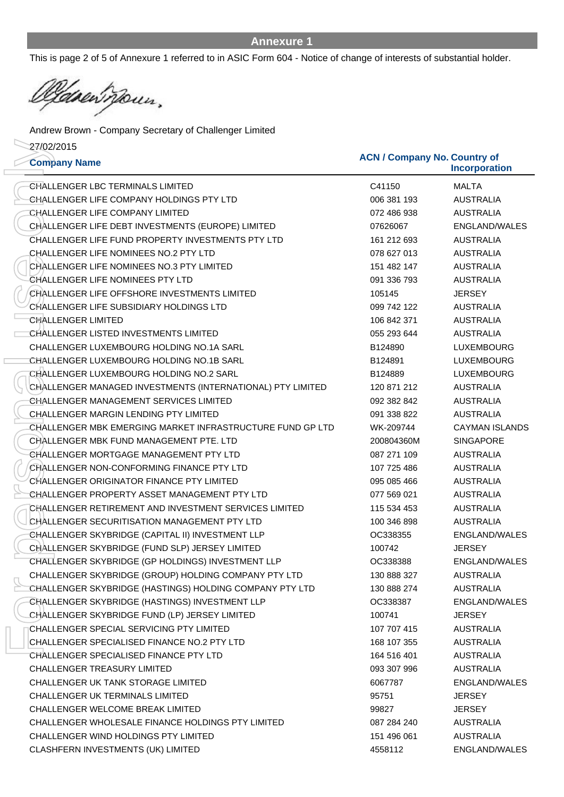This is page 2 of 5 of Annexure 1 referred to in ASIC Form 604 - Notice of change of interests of substantial holder.

<u>lidge</u>n moun,

**Company Name ACN / Company No. Country of** 27/02/2015 Andrew Brown - Company Secretary of Challenger Limited

| 27/02/2015<br><b>Company Name</b>                          | <b>ACN / Company No. Country of</b> | <b>Incorporation</b>  |
|------------------------------------------------------------|-------------------------------------|-----------------------|
| CHALLENGER LBC TERMINALS LIMITED                           | C41150                              | <b>MALTA</b>          |
| CHALLENGER LIFE COMPANY HOLDINGS PTY LTD                   | 006 381 193                         | <b>AUSTRALIA</b>      |
| CHALLENGER LIFE COMPANY LIMITED                            | 072 486 938                         | <b>AUSTRALIA</b>      |
| CHALLENGER LIFE DEBT INVESTMENTS (EUROPE) LIMITED          | 07626067                            | ENGLAND/WALES         |
| CHALLENGER LIFE FUND PROPERTY INVESTMENTS PTY LTD          | 161 212 693                         | <b>AUSTRALIA</b>      |
| <b>CHALLENGER LIFE NOMINEES NO.2 PTY LTD</b>               | 078 627 013                         | <b>AUSTRALIA</b>      |
| CHALLENGER LIFE NOMINEES NO.3 PTY LIMITED                  | 151 482 147                         | <b>AUSTRALIA</b>      |
| CHALLENGER LIFE NOMINEES PTY LTD                           | 091 336 793                         | <b>AUSTRALIA</b>      |
| CHALLENGER LIFE OFFSHORE INVESTMENTS LIMITED               | 105145                              | <b>JERSEY</b>         |
| CHALLENGER LIFE SUBSIDIARY HOLDINGS LTD                    | 099 742 122                         | <b>AUSTRALIA</b>      |
| <b>CHALLENGER LIMITED</b>                                  | 106 842 371                         | <b>AUSTRALIA</b>      |
| CHALLENGER LISTED INVESTMENTS LIMITED                      | 055 293 644                         | <b>AUSTRALIA</b>      |
| CHALLENGER LUXEMBOURG HOLDING NO.1A SARL                   | B124890                             | <b>LUXEMBOURG</b>     |
| CHALLENGER LUXEMBOURG HOLDING NO.1B SARL                   | B124891                             | <b>LUXEMBOURG</b>     |
| CHALLENGER LUXEMBOURG HOLDING NO.2 SARL                    | B124889                             | <b>LUXEMBOURG</b>     |
| CHALLENGER MANAGED INVESTMENTS (INTERNATIONAL) PTY LIMITED | 120 871 212                         | <b>AUSTRALIA</b>      |
| CHALLENGER MANAGEMENT SERVICES LIMITED                     | 092 382 842                         | <b>AUSTRALIA</b>      |
| <b>CHALLENGER MARGIN LENDING PTY LIMITED</b>               | 091 338 822                         | <b>AUSTRALIA</b>      |
| CHALLENGER MBK EMERGING MARKET INFRASTRUCTURE FUND GP LTD  | WK-209744                           | <b>CAYMAN ISLANDS</b> |
| CHALLENGER MBK FUND MANAGEMENT PTE. LTD                    | 200804360M                          | <b>SINGAPORE</b>      |
| CHALLENGER MORTGAGE MANAGEMENT PTY LTD                     | 087 271 109                         | <b>AUSTRALIA</b>      |
| CHALLENGER NON-CONFORMING FINANCE PTY LTD                  | 107 725 486                         | <b>AUSTRALIA</b>      |
| CHALLENGER ORIGINATOR FINANCE PTY LIMITED                  | 095 085 466                         | <b>AUSTRALIA</b>      |
| CHALLENGER PROPERTY ASSET MANAGEMENT PTY LTD               | 077 569 021                         | <b>AUSTRALIA</b>      |
| CHALLENGER RETIREMENT AND INVESTMENT SERVICES LIMITED      | 115 534 453                         | <b>AUSTRALIA</b>      |
| CHALLENGER SECURITISATION MANAGEMENT PTY LTD               | 100 346 898                         | <b>AUSTRALIA</b>      |
| CHALLENGER SKYBRIDGE (CAPITAL II) INVESTMENT LLP           | OC338355                            | ENGLAND/WALES         |
| CHALLENGER SKYBRIDGE (FUND SLP) JERSEY LIMITED             | 100742                              | <b>JERSEY</b>         |
| CHALLENGER SKYBRIDGE (GP HOLDINGS) INVESTMENT LLP          | OC338388                            | ENGLAND/WALES         |
| CHALLENGER SKYBRIDGE (GROUP) HOLDING COMPANY PTY LTD       | 130 888 327                         | <b>AUSTRALIA</b>      |
| CHALLENGER SKYBRIDGE (HASTINGS) HOLDING COMPANY PTY LTD    | 130 888 274                         | <b>AUSTRALIA</b>      |
| CHALLENGER SKYBRIDGE (HASTINGS) INVESTMENT LLP             | OC338387                            | ENGLAND/WALES         |
| CHALLENGER SKYBRIDGE FUND (LP) JERSEY LIMITED              | 100741                              | <b>JERSEY</b>         |
| CHALLENGER SPECIAL SERVICING PTY LIMITED                   | 107 707 415                         | <b>AUSTRALIA</b>      |
| CHALLENGER SPECIALISED FINANCE NO.2 PTY LTD                | 168 107 355                         | AUSTRALIA             |
| CHALLENGER SPECIALISED FINANCE PTY LTD                     | 164 516 401                         | <b>AUSTRALIA</b>      |
| <b>CHALLENGER TREASURY LIMITED</b>                         | 093 307 996                         | <b>AUSTRALIA</b>      |
| CHALLENGER UK TANK STORAGE LIMITED                         | 6067787                             | ENGLAND/WALES         |
| CHALLENGER UK TERMINALS LIMITED                            | 95751                               | <b>JERSEY</b>         |
| CHALLENGER WELCOME BREAK LIMITED                           | 99827                               | <b>JERSEY</b>         |
| CHALLENGER WHOLESALE FINANCE HOLDINGS PTY LIMITED          | 087 284 240                         | AUSTRALIA             |
| CHALLENGER WIND HOLDINGS PTY LIMITED                       | 151 496 061                         | <b>AUSTRALIA</b>      |
| CLASHFERN INVESTMENTS (UK) LIMITED                         | 4558112                             | ENGLAND/WALES         |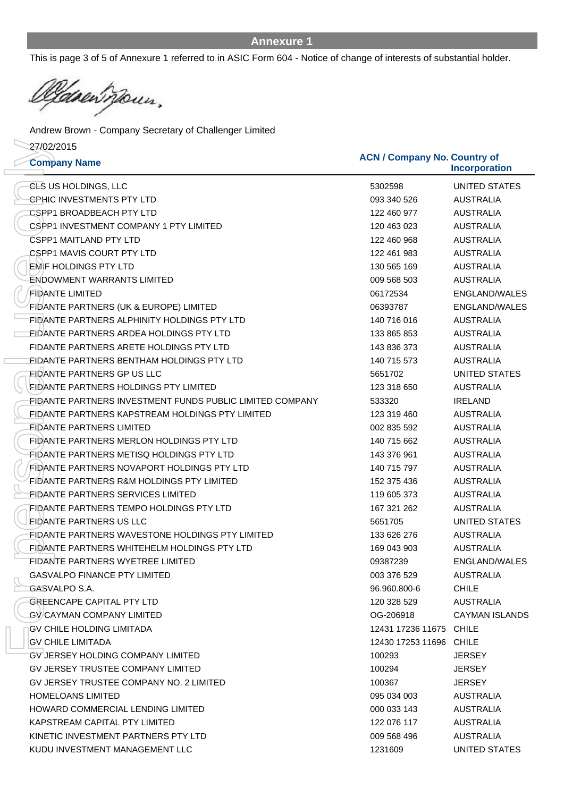This is page 3 of 5 of Annexure 1 referred to in ASIC Form 604 - Notice of change of interests of substantial holder.

<u> Va</u>sen<sup>t</sup> pour,

**Company Name ACN / Company No. Country of** 27/02/2015 Andrew Brown - Company Secretary of Challenger Limited

| 27/02/2015<br><b>Company Name</b>                        | <b>ACN / Company No. Country of</b><br><b>Incorporation</b> |                      |  |
|----------------------------------------------------------|-------------------------------------------------------------|----------------------|--|
| <b>CLS US HOLDINGS, LLC</b>                              | 5302598                                                     | <b>UNITED STATES</b> |  |
| <b>CPHIC INVESTMENTS PTY LTD</b>                         | 093 340 526                                                 | <b>AUSTRALIA</b>     |  |
| CSPP1 BROADBEACH PTY LTD                                 | 122 460 977                                                 | <b>AUSTRALIA</b>     |  |
| CSPP1 INVESTMENT COMPANY 1 PTY LIMITED                   | 120 463 023                                                 | <b>AUSTRALIA</b>     |  |
| <b>CSPP1 MAITLAND PTY LTD</b>                            | 122 460 968                                                 | <b>AUSTRALIA</b>     |  |
| <b>CSPP1 MAVIS COURT PTY LTD</b>                         | 122 461 983                                                 | <b>AUSTRALIA</b>     |  |
| <b>EMIF HOLDINGS PTY LTD</b>                             | 130 565 169                                                 | <b>AUSTRALIA</b>     |  |
| ENDOWMENT WARRANTS LIMITED                               | 009 568 503                                                 | <b>AUSTRALIA</b>     |  |
| <b>FIDANTE LIMITED</b>                                   | 06172534                                                    | ENGLAND/WALES        |  |
| FIDANTE PARTNERS (UK & EUROPE) LIMITED                   | 06393787                                                    | ENGLAND/WALES        |  |
| FIDANTE PARTNERS ALPHINITY HOLDINGS PTY LTD              | 140 716 016                                                 | <b>AUSTRALIA</b>     |  |
| EIDANTE PARTNERS ARDEA HOLDINGS PTY LTD                  | 133 865 853                                                 | <b>AUSTRALIA</b>     |  |
| FIDANTE PARTNERS ARETE HOLDINGS PTY LTD                  | 143 836 373                                                 | <b>AUSTRALIA</b>     |  |
| FIDANTE PARTNERS BENTHAM HOLDINGS PTY LTD                | 140 715 573                                                 | <b>AUSTRALIA</b>     |  |
| FIDANTE PARTNERS GP US LLC                               | 5651702                                                     | UNITED STATES        |  |
| FIDANTE PARTNERS HOLDINGS PTY LIMITED                    | 123 318 650                                                 | <b>AUSTRALIA</b>     |  |
| FIDANTE PARTNERS INVESTMENT FUNDS PUBLIC LIMITED COMPANY | 533320                                                      | <b>IRELAND</b>       |  |
| FIDANTE PARTNERS KAPSTREAM HOLDINGS PTY LIMITED          | 123 319 460                                                 | <b>AUSTRALIA</b>     |  |
| FIDANTE PARTNERS LIMITED                                 | 002 835 592                                                 | <b>AUSTRALIA</b>     |  |
| FIDANTE PARTNERS MERLON HOLDINGS PTY LTD                 | 140 715 662                                                 | <b>AUSTRALIA</b>     |  |
| FIDANTE PARTNERS METISQ HOLDINGS PTY LTD                 | 143 376 961                                                 | <b>AUSTRALIA</b>     |  |
| FIDANTE PARTNERS NOVAPORT HOLDINGS PTY LTD               | 140 715 797                                                 | <b>AUSTRALIA</b>     |  |
| FIDANTE PARTNERS R&M HOLDINGS PTY LIMITED                | 152 375 436                                                 | <b>AUSTRALIA</b>     |  |
| FIDANTE PARTNERS SERVICES LIMITED                        | 119 605 373                                                 | <b>AUSTRALIA</b>     |  |
| FIDANTE PARTNERS TEMPO HOLDINGS PTY LTD                  | 167 321 262                                                 | <b>AUSTRALIA</b>     |  |
| <b>EIDANTE PARTNERS US LLC</b>                           | 5651705                                                     | UNITED STATES        |  |
| FIDANTE PARTNERS WAVESTONE HOLDINGS PTY LIMITED          | 133 626 276                                                 | <b>AUSTRALIA</b>     |  |
| FIDANTE PARTNERS WHITEHELM HOLDINGS PTY LTD              | 169 043 903                                                 | <b>AUSTRALIA</b>     |  |
| FIDANTE PARTNERS WYETREE LIMITED                         | 09387239                                                    | ENGLAND/WALES        |  |
| <b>GASVALPO FINANCE PTY LIMITED</b>                      | 003 376 529                                                 | <b>AUSTRALIA</b>     |  |
| GASVALPO S.A.                                            | 96.960.800-6                                                | <b>CHILE</b>         |  |
| <b>GREENCAPE CAPITAL PTY LTD</b>                         | 120 328 529                                                 | <b>AUSTRALIA</b>     |  |
| <b>GV/CAYMAN COMPANY LIMITED</b>                         | OG-206918                                                   | CAYMAN ISLANDS       |  |
| GV CHILE HOLDING LIMITADA                                | 12431 17236 11675 CHILE                                     |                      |  |
| <b>GV CHILE LIMITADA</b>                                 | 12430 17253 11696 CHILE                                     |                      |  |
| GV JERSEY HOLDING COMPANY LIMITED                        | 100293                                                      | <b>JERSEY</b>        |  |
| GV JERSEY TRUSTEE COMPANY LIMITED                        | 100294                                                      | JERSEY               |  |
| GV JERSEY TRUSTEE COMPANY NO. 2 LIMITED                  | 100367                                                      | <b>JERSEY</b>        |  |
| <b>HOMELOANS LIMITED</b>                                 | 095 034 003                                                 | AUSTRALIA            |  |
| HOWARD COMMERCIAL LENDING LIMITED                        | 000 033 143                                                 | AUSTRALIA            |  |
| KAPSTREAM CAPITAL PTY LIMITED                            | 122 076 117                                                 | <b>AUSTRALIA</b>     |  |
| KINETIC INVESTMENT PARTNERS PTY LTD                      | 009 568 496                                                 | <b>AUSTRALIA</b>     |  |
| KUDU INVESTMENT MANAGEMENT LLC                           | 1231609                                                     | <b>UNITED STATES</b> |  |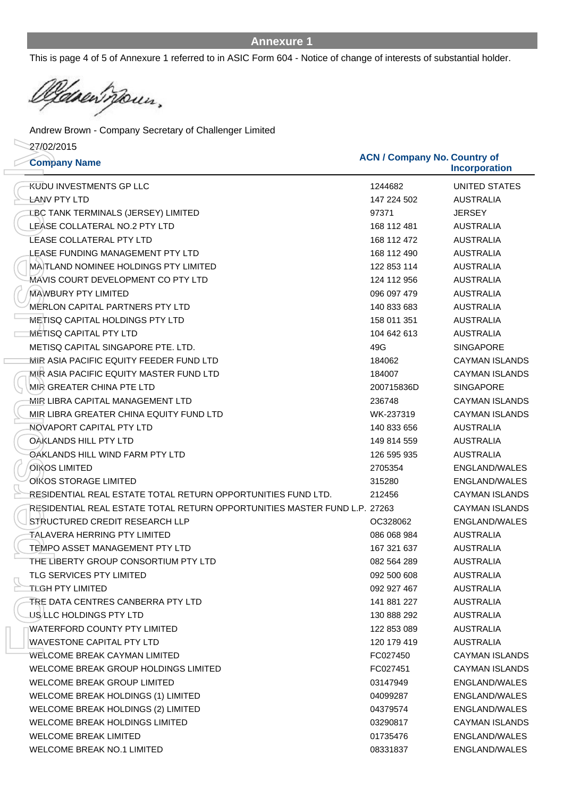This is page 4 of 5 of Annexure 1 referred to in ASIC Form 604 - Notice of change of interests of substantial holder.

Casent pour.

**Company Name ACN / Company No. Country of** 27/02/2015 Andrew Brown - Company Secretary of Challenger Limited

| 27/02/2015<br><b>Company Name</b>                                         | <b>ACN / Company No. Country of</b> | Incorporation         |
|---------------------------------------------------------------------------|-------------------------------------|-----------------------|
| <b>KUDU INVESTMENTS GP LLC</b>                                            | 1244682                             | <b>UNITED STATES</b>  |
| <b>LANV PTY LTD</b>                                                       | 147 224 502                         | <b>AUSTRALIA</b>      |
| <b>LBC TANK TERMINALS (JERSEY) LIMITED</b>                                | 97371                               | <b>JERSEY</b>         |
| LEASE COLLATERAL NO.2 PTY LTD                                             | 168 112 481                         | <b>AUSTRALIA</b>      |
| <b>LEASE COLLATERAL PTY LTD</b>                                           | 168 112 472                         | <b>AUSTRALIA</b>      |
| LEASE FUNDING MANAGEMENT PTY LTD                                          | 168 112 490                         | <b>AUSTRALIA</b>      |
| MAITLAND NOMINEE HOLDINGS PTY LIMITED                                     | 122 853 114                         | <b>AUSTRALIA</b>      |
| MÁVIS COURT DEVELOPMENT CO PTY LTD                                        | 124 112 956                         | <b>AUSTRALIA</b>      |
| <b>MAWBURY PTY LIMITED</b>                                                | 096 097 479                         | <b>AUSTRALIA</b>      |
| MERLON CAPITAL PARTNERS PTY LTD                                           | 140 833 683                         | <b>AUSTRALIA</b>      |
| <b>METISQ CAPITAL HOLDINGS PTY LTD</b>                                    | 158 011 351                         | <b>AUSTRALIA</b>      |
| METISQ CAPITAL PTY LTD                                                    | 104 642 613                         | <b>AUSTRALIA</b>      |
| METISQ CAPITAL SINGAPORE PTE, LTD.                                        | 49G                                 | <b>SINGAPORE</b>      |
| MIR ASIA PACIFIC EQUITY FEEDER FUND LTD                                   | 184062                              | <b>CAYMAN ISLANDS</b> |
| MIR ASIA PACIFIC EQUITY MASTER FUND LTD                                   | 184007                              | <b>CAYMAN ISLANDS</b> |
| MIR GREATER CHINA PTE LTD                                                 | 200715836D                          | <b>SINGAPORE</b>      |
| <b>MIR LIBRA CAPITAL MANAGEMENT LTD</b>                                   | 236748                              | <b>CAYMAN ISLANDS</b> |
| MIR LIBRA GREATER CHINA EQUITY FUND LTD                                   | WK-237319                           | <b>CAYMAN ISLANDS</b> |
| NOVAPORT CAPITAL PTY LTD                                                  | 140 833 656                         | <b>AUSTRALIA</b>      |
| OAKLANDS HILL PTY LTD                                                     | 149 814 559                         | <b>AUSTRALIA</b>      |
| OAKLANDS HILL WIND FARM PTY LTD                                           | 126 595 935                         | <b>AUSTRALIA</b>      |
| OIKOS LIMITED                                                             | 2705354                             | ENGLAND/WALES         |
| OKOS STORAGE LIMITED                                                      | 315280                              | ENGLAND/WALES         |
| RESIDENTIAL REAL ESTATE TOTAL RETURN OPPORTUNITIES FUND LTD.              | 212456                              | <b>CAYMAN ISLANDS</b> |
| RESIDENTIAL REAL ESTATE TOTAL RETURN OPPORTUNITIES MASTER FUND L.P. 27263 |                                     | <b>CAYMAN ISLANDS</b> |
| STRUCTURED CREDIT RESEARCH LLP                                            | OC328062                            | <b>ENGLAND/WALES</b>  |
| TALAVERA HERRING PTY LIMITED                                              | 086 068 984                         | <b>AUSTRALIA</b>      |
| TEMPO ASSET MANAGEMENT PTY LTD                                            | 167 321 637                         | <b>AUSTRALIA</b>      |
| THE LIBERTY GROUP CONSORTIUM PTY LTD                                      | 082 564 289                         | <b>AUSTRALIA</b>      |
| <b>TLG SERVICES PTY LIMITED</b>                                           | 092 500 608                         | <b>AUSTRALIA</b>      |
| <b>TLGH PTY LIMITED</b>                                                   | 092 927 467                         | <b>AUSTRALIA</b>      |
| TRE DATA CENTRES CANBERRA PTY LTD                                         | 141 881 227                         | <b>AUSTRALIA</b>      |
| US/LLC HOLDINGS PTY LTD                                                   | 130 888 292                         | <b>AUSTRALIA</b>      |
| <b>WATERFORD COUNTY PTY LIMITED</b>                                       | 122 853 089                         | <b>AUSTRALIA</b>      |
| WAVESTONE CAPITAL PTY LTD                                                 | 120 179 419                         | AUSTRALIA             |
| <b>WELCOME BREAK CAYMAN LIMITED</b>                                       | FC027450                            | <b>CAYMAN ISLANDS</b> |
| WELCOME BREAK GROUP HOLDINGS LIMITED                                      | FC027451                            | <b>CAYMAN ISLANDS</b> |
| <b>WELCOME BREAK GROUP LIMITED</b>                                        | 03147949                            | ENGLAND/WALES         |
| WELCOME BREAK HOLDINGS (1) LIMITED                                        | 04099287                            | ENGLAND/WALES         |
| WELCOME BREAK HOLDINGS (2) LIMITED                                        | 04379574                            | ENGLAND/WALES         |
| WELCOME BREAK HOLDINGS LIMITED                                            | 03290817                            | <b>CAYMAN ISLANDS</b> |
| <b>WELCOME BREAK LIMITED</b>                                              | 01735476                            | ENGLAND/WALES         |
| <b>WELCOME BREAK NO.1 LIMITED</b>                                         | 08331837                            | ENGLAND/WALES         |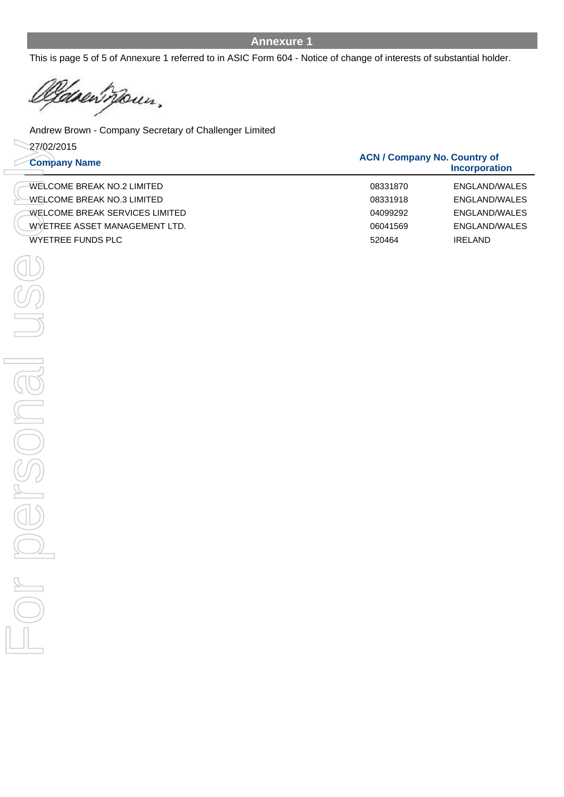This is page 5 of 5 of Annexure 1 referred to in ASIC Form 604 - Notice of change of interests of substantial holder.

den pour,

**Company Name ACN / C**  27/02/2015 Andrew Brown - Company Secretary of Challenger Limited WELCOME BREAK NO.2 LIMITED WELCOME BREAK NO.3 LIMITED WELCOME BREAK SERVICES LIMITED **EXERCISTS PLACE AND SURFAINED**<br>
WELCOME BREAK NO SUMMITED<br>
WELCOME BREAK NO SUMMITED<br>
WELCOME BREAK NO SURFAINED TO BOSSING PROGRAM<br>
WETREE RISSET ANANGEMENT LTD.<br>
WETRE FUNDS RIC<br>
WETREE RISSES ANAGEMENT LTD.<br>
WETRE FUND

WYETREE ASSET MANAGEMENT LTD.

| <b>JN / Company No. Country of</b><br><b>Incorporation</b> |               |  |  |  |
|------------------------------------------------------------|---------------|--|--|--|
| 08331870                                                   | ENGLAND/WALES |  |  |  |
| 08331918                                                   | ENGLAND/WALES |  |  |  |
| 04099292                                                   | ENGLAND/WALES |  |  |  |
| 06041569                                                   | ENGLAND/WALES |  |  |  |
| 520464                                                     | IRELAND       |  |  |  |